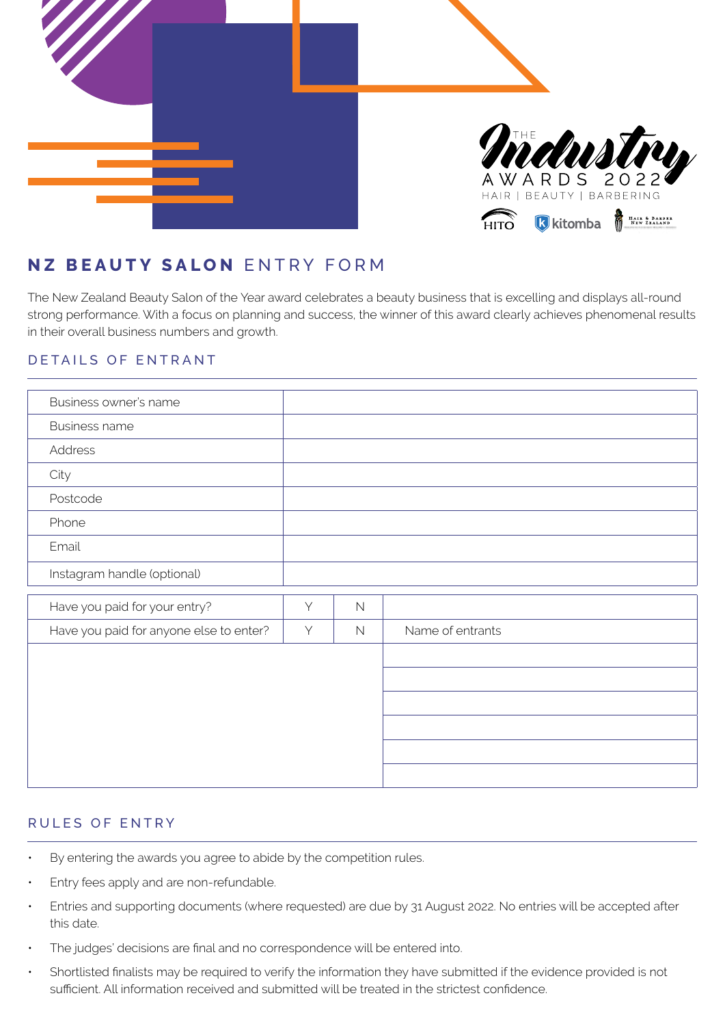

# **NZ BEAUTY SALON** ENTRY FORM

The New Zealand Beauty Salon of the Year award celebrates a beauty business that is excelling and displays all-round strong performance. With a focus on planning and success, the winner of this award clearly achieves phenomenal results in their overall business numbers and growth.

## DETAILS OF ENTRANT

| Business owner's name                   |   |             |                  |
|-----------------------------------------|---|-------------|------------------|
| <b>Business name</b>                    |   |             |                  |
| Address                                 |   |             |                  |
| City                                    |   |             |                  |
| Postcode                                |   |             |                  |
| Phone                                   |   |             |                  |
| Email                                   |   |             |                  |
| Instagram handle (optional)             |   |             |                  |
| Have you paid for your entry?           | Y | $\mathbb N$ |                  |
| Have you paid for anyone else to enter? | Y | $\mathbb N$ | Name of entrants |
|                                         |   |             |                  |
|                                         |   |             |                  |
|                                         |   |             |                  |
|                                         |   |             |                  |
|                                         |   |             |                  |
|                                         |   |             |                  |

# RULES OF ENTRY

- By entering the awards you agree to abide by the competition rules.
- Entry fees apply and are non-refundable.
- Entries and supporting documents (where requested) are due by 31 August 2022. No entries will be accepted after this date.
- The judges' decisions are final and no correspondence will be entered into.
- Shortlisted finalists may be required to verify the information they have submitted if the evidence provided is not sufficient. All information received and submitted will be treated in the strictest confidence.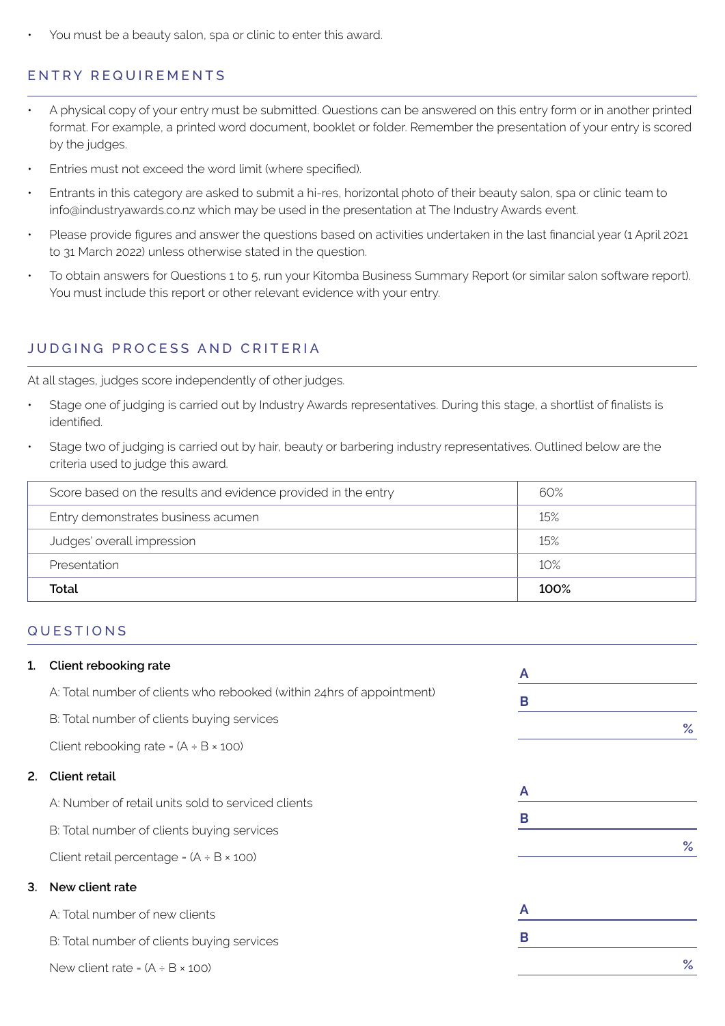You must be a beauty salon, spa or clinic to enter this award.

## ENTRY REQUIREMENTS

- A physical copy of your entry must be submitted. Questions can be answered on this entry form or in another printed format. For example, a printed word document, booklet or folder. Remember the presentation of your entry is scored by the judges.
- Entries must not exceed the word limit (where specified).
- Entrants in this category are asked to submit a hi-res, horizontal photo of their beauty salon, spa or clinic team to info@industryawards.co.nz which may be used in the presentation at The Industry Awards event.
- Please provide figures and answer the questions based on activities undertaken in the last financial year (1 April 2021 to 31 March 2022) unless otherwise stated in the question.
- To obtain answers for Questions 1 to 5, run your Kitomba Business Summary Report (or similar salon software report). You must include this report or other relevant evidence with your entry.

# JUDGING PROCESS AND CRITERIA

At all stages, judges score independently of other judges.

- Stage one of judging is carried out by Industry Awards representatives. During this stage, a shortlist of finalists is identified.
- Stage two of judging is carried out by hair, beauty or barbering industry representatives. Outlined below are the criteria used to judge this award.

| Score based on the results and evidence provided in the entry | 60%  |
|---------------------------------------------------------------|------|
| Entry demonstrates business acumen                            | 15%  |
| Judges' overall impression                                    | 15%  |
| Presentation                                                  | 10%  |
| Total                                                         | 100% |

## QUESTIONS

| 1. | Client rebooking rate                                                 | A |   |
|----|-----------------------------------------------------------------------|---|---|
|    | A: Total number of clients who rebooked (within 24hrs of appointment) | B |   |
|    | B: Total number of clients buying services                            |   | % |
|    | Client rebooking rate = $(A + B \times 100)$                          |   |   |
| 2. | <b>Client retail</b>                                                  |   |   |
|    | A: Number of retail units sold to serviced clients                    | A |   |
|    | B: Total number of clients buying services                            | B |   |
|    | Client retail percentage = $(A + B \times 100)$                       |   | % |
| 3. | New client rate                                                       |   |   |
|    | A: Total number of new clients                                        | A |   |
|    | B: Total number of clients buying services                            | B |   |
|    | New client rate = $(A \div B \times 100)$                             |   | % |